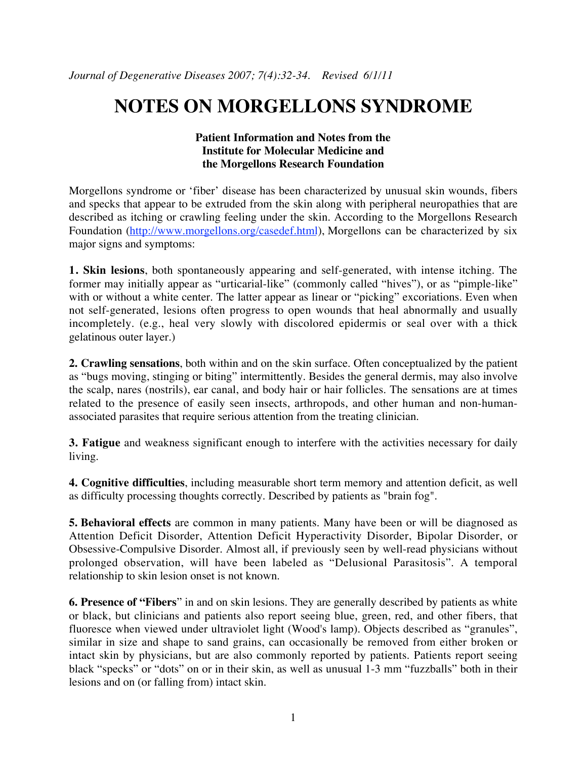## **NOTES ON MORGELLONS SYNDROME**

## **Patient Information and Notes from the Institute for Molecular Medicine and the Morgellons Research Foundation**

Morgellons syndrome or 'fiber' disease has been characterized by unusual skin wounds, fibers and specks that appear to be extruded from the skin along with peripheral neuropathies that are described as itching or crawling feeling under the skin. According to the Morgellons Research Foundation (http://www.morgellons.org/casedef.html), Morgellons can be characterized by six major signs and symptoms:

**1. Skin lesions**, both spontaneously appearing and self-generated, with intense itching. The former may initially appear as "urticarial-like" (commonly called "hives"), or as "pimple-like" with or without a white center. The latter appear as linear or "picking" excoriations. Even when not self-generated, lesions often progress to open wounds that heal abnormally and usually incompletely. (e.g., heal very slowly with discolored epidermis or seal over with a thick gelatinous outer layer.)

**2. Crawling sensations**, both within and on the skin surface. Often conceptualized by the patient as "bugs moving, stinging or biting" intermittently. Besides the general dermis, may also involve the scalp, nares (nostrils), ear canal, and body hair or hair follicles. The sensations are at times related to the presence of easily seen insects, arthropods, and other human and non-humanassociated parasites that require serious attention from the treating clinician.

**3. Fatigue** and weakness significant enough to interfere with the activities necessary for daily living.

**4. Cognitive difficulties**, including measurable short term memory and attention deficit, as well as difficulty processing thoughts correctly. Described by patients as "brain fog".

**5. Behavioral effects** are common in many patients. Many have been or will be diagnosed as Attention Deficit Disorder, Attention Deficit Hyperactivity Disorder, Bipolar Disorder, or Obsessive-Compulsive Disorder. Almost all, if previously seen by well-read physicians without prolonged observation, will have been labeled as "Delusional Parasitosis". A temporal relationship to skin lesion onset is not known.

**6. Presence of "Fibers**" in and on skin lesions. They are generally described by patients as white or black, but clinicians and patients also report seeing blue, green, red, and other fibers, that fluoresce when viewed under ultraviolet light (Wood's lamp). Objects described as "granules", similar in size and shape to sand grains, can occasionally be removed from either broken or intact skin by physicians, but are also commonly reported by patients. Patients report seeing black "specks" or "dots" on or in their skin, as well as unusual 1-3 mm "fuzzballs" both in their lesions and on (or falling from) intact skin.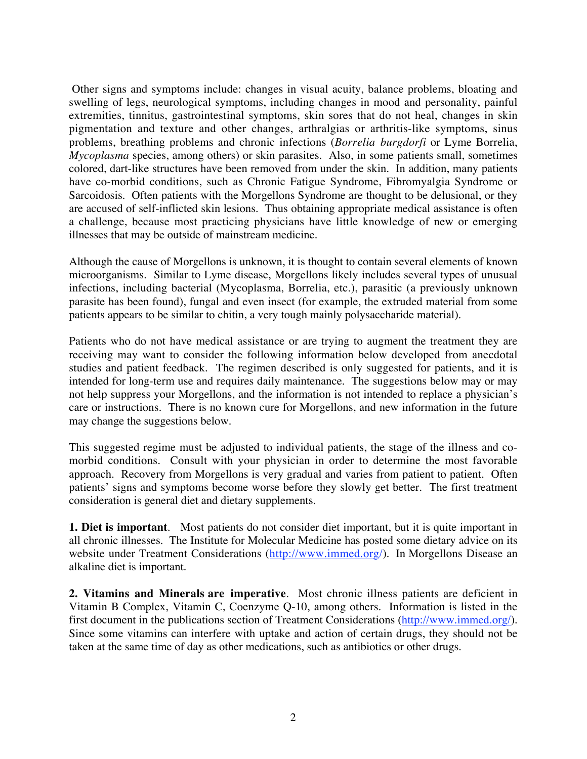Other signs and symptoms include: changes in visual acuity, balance problems, bloating and swelling of legs, neurological symptoms, including changes in mood and personality, painful extremities, tinnitus, gastrointestinal symptoms, skin sores that do not heal, changes in skin pigmentation and texture and other changes, arthralgias or arthritis-like symptoms, sinus problems, breathing problems and chronic infections (*Borrelia burgdorfi* or Lyme Borrelia, *Mycoplasma* species, among others) or skin parasites. Also, in some patients small, sometimes colored, dart-like structures have been removed from under the skin. In addition, many patients have co-morbid conditions, such as Chronic Fatigue Syndrome, Fibromyalgia Syndrome or Sarcoidosis. Often patients with the Morgellons Syndrome are thought to be delusional, or they are accused of self-inflicted skin lesions. Thus obtaining appropriate medical assistance is often a challenge, because most practicing physicians have little knowledge of new or emerging illnesses that may be outside of mainstream medicine.

Although the cause of Morgellons is unknown, it is thought to contain several elements of known microorganisms. Similar to Lyme disease, Morgellons likely includes several types of unusual infections, including bacterial (Mycoplasma, Borrelia, etc.), parasitic (a previously unknown parasite has been found), fungal and even insect (for example, the extruded material from some patients appears to be similar to chitin, a very tough mainly polysaccharide material).

Patients who do not have medical assistance or are trying to augment the treatment they are receiving may want to consider the following information below developed from anecdotal studies and patient feedback. The regimen described is only suggested for patients, and it is intended for long-term use and requires daily maintenance. The suggestions below may or may not help suppress your Morgellons, and the information is not intended to replace a physician's care or instructions. There is no known cure for Morgellons, and new information in the future may change the suggestions below.

This suggested regime must be adjusted to individual patients, the stage of the illness and comorbid conditions. Consult with your physician in order to determine the most favorable approach. Recovery from Morgellons is very gradual and varies from patient to patient. Often patients' signs and symptoms become worse before they slowly get better. The first treatment consideration is general diet and dietary supplements.

**1. Diet is important**. Most patients do not consider diet important, but it is quite important in all chronic illnesses. The Institute for Molecular Medicine has posted some dietary advice on its website under Treatment Considerations (http://www.immed.org/). In Morgellons Disease an alkaline diet is important.

**2. Vitamins and Minerals are imperative**. Most chronic illness patients are deficient in Vitamin B Complex, Vitamin C, Coenzyme Q-10, among others. Information is listed in the first document in the publications section of Treatment Considerations (http://www.immed.org/). Since some vitamins can interfere with uptake and action of certain drugs, they should not be taken at the same time of day as other medications, such as antibiotics or other drugs.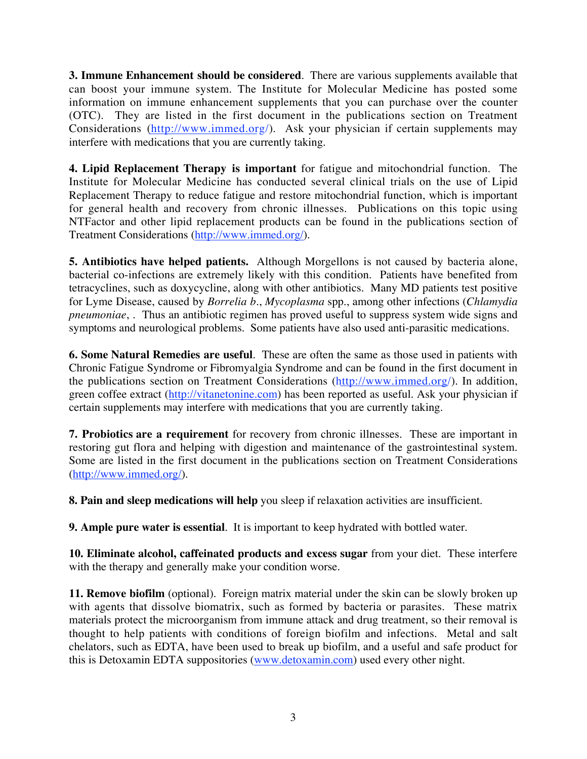**3. Immune Enhancement should be considered**. There are various supplements available that can boost your immune system. The Institute for Molecular Medicine has posted some information on immune enhancement supplements that you can purchase over the counter (OTC). They are listed in the first document in the publications section on Treatment Considerations (http://www.immed.org/). Ask your physician if certain supplements may interfere with medications that you are currently taking.

**4. Lipid Replacement Therapy is important** for fatigue and mitochondrial function. The Institute for Molecular Medicine has conducted several clinical trials on the use of Lipid Replacement Therapy to reduce fatigue and restore mitochondrial function, which is important for general health and recovery from chronic illnesses. Publications on this topic using NTFactor and other lipid replacement products can be found in the publications section of Treatment Considerations (http://www.immed.org/).

**5. Antibiotics have helped patients.** Although Morgellons is not caused by bacteria alone, bacterial co-infections are extremely likely with this condition. Patients have benefited from tetracyclines, such as doxycycline, along with other antibiotics. Many MD patients test positive for Lyme Disease, caused by *Borrelia b*., *Mycoplasma* spp., among other infections (*Chlamydia pneumoniae*, . Thus an antibiotic regimen has proved useful to suppress system wide signs and symptoms and neurological problems. Some patients have also used anti-parasitic medications.

**6. Some Natural Remedies are useful**. These are often the same as those used in patients with Chronic Fatigue Syndrome or Fibromyalgia Syndrome and can be found in the first document in the publications section on Treatment Considerations (http://www.immed.org/). In addition, green coffee extract (http://vitanetonine.com) has been reported as useful. Ask your physician if certain supplements may interfere with medications that you are currently taking.

**7. Probiotics are a requirement** for recovery from chronic illnesses. These are important in restoring gut flora and helping with digestion and maintenance of the gastrointestinal system. Some are listed in the first document in the publications section on Treatment Considerations (http://www.immed.org/).

**8. Pain and sleep medications will help** you sleep if relaxation activities are insufficient.

**9. Ample pure water is essential**. It is important to keep hydrated with bottled water.

**10. Eliminate alcohol, caffeinated products and excess sugar** from your diet. These interfere with the therapy and generally make your condition worse.

**11. Remove biofilm** (optional). Foreign matrix material under the skin can be slowly broken up with agents that dissolve biomatrix, such as formed by bacteria or parasites. These matrix materials protect the microorganism from immune attack and drug treatment, so their removal is thought to help patients with conditions of foreign biofilm and infections. Metal and salt chelators, such as EDTA, have been used to break up biofilm, and a useful and safe product for this is Detoxamin EDTA suppositories (www.detoxamin.com) used every other night.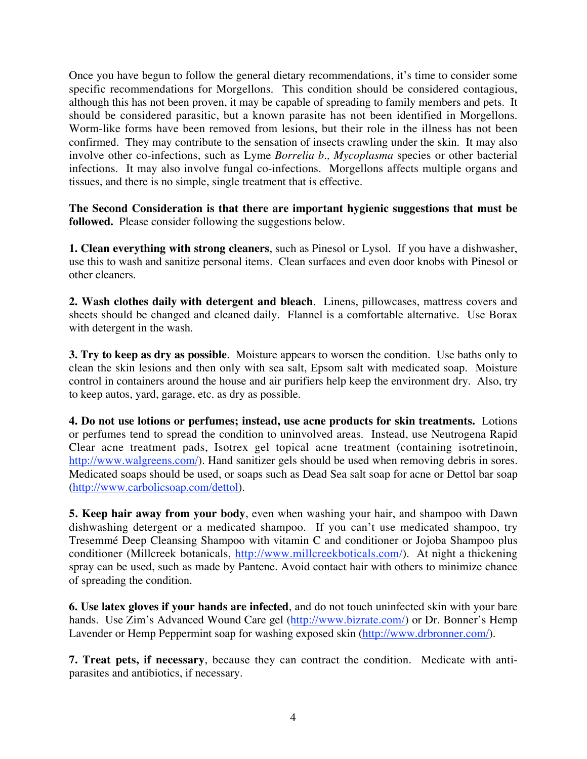Once you have begun to follow the general dietary recommendations, it's time to consider some specific recommendations for Morgellons. This condition should be considered contagious, although this has not been proven, it may be capable of spreading to family members and pets. It should be considered parasitic, but a known parasite has not been identified in Morgellons. Worm-like forms have been removed from lesions, but their role in the illness has not been confirmed. They may contribute to the sensation of insects crawling under the skin. It may also involve other co-infections, such as Lyme *Borrelia b., Mycoplasma* species or other bacterial infections. It may also involve fungal co-infections. Morgellons affects multiple organs and tissues, and there is no simple, single treatment that is effective.

**The Second Consideration is that there are important hygienic suggestions that must be followed.** Please consider following the suggestions below.

**1. Clean everything with strong cleaners**, such as Pinesol or Lysol. If you have a dishwasher, use this to wash and sanitize personal items. Clean surfaces and even door knobs with Pinesol or other cleaners.

**2. Wash clothes daily with detergent and bleach**. Linens, pillowcases, mattress covers and sheets should be changed and cleaned daily. Flannel is a comfortable alternative. Use Borax with detergent in the wash.

**3. Try to keep as dry as possible**. Moisture appears to worsen the condition. Use baths only to clean the skin lesions and then only with sea salt, Epsom salt with medicated soap. Moisture control in containers around the house and air purifiers help keep the environment dry. Also, try to keep autos, yard, garage, etc. as dry as possible.

**4. Do not use lotions or perfumes; instead, use acne products for skin treatments.** Lotions or perfumes tend to spread the condition to uninvolved areas. Instead, use Neutrogena Rapid Clear acne treatment pads, Isotrex gel topical acne treatment (containing isotretinoin, http://www.walgreens.com/). Hand sanitizer gels should be used when removing debris in sores. Medicated soaps should be used, or soaps such as Dead Sea salt soap for acne or Dettol bar soap (http://www.carbolicsoap.com/dettol).

**5. Keep hair away from your body**, even when washing your hair, and shampoo with Dawn dishwashing detergent or a medicated shampoo. If you can't use medicated shampoo, try Tresemmé Deep Cleansing Shampoo with vitamin C and conditioner or Jojoba Shampoo plus conditioner (Millcreek botanicals, http://www.millcreekboticals.com/). At night a thickening spray can be used, such as made by Pantene. Avoid contact hair with others to minimize chance of spreading the condition.

**6. Use latex gloves if your hands are infected**, and do not touch uninfected skin with your bare hands. Use Zim's Advanced Wound Care gel (http://www.bizrate.com/) or Dr. Bonner's Hemp Lavender or Hemp Peppermint soap for washing exposed skin (http://www.drbronner.com/).

**7. Treat pets, if necessary**, because they can contract the condition. Medicate with antiparasites and antibiotics, if necessary.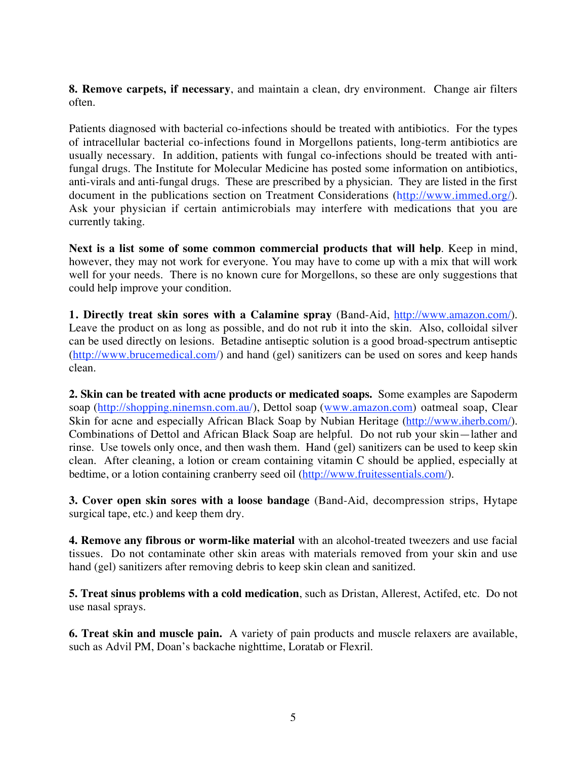**8. Remove carpets, if necessary**, and maintain a clean, dry environment. Change air filters often.

Patients diagnosed with bacterial co-infections should be treated with antibiotics. For the types of intracellular bacterial co-infections found in Morgellons patients, long-term antibiotics are usually necessary. In addition, patients with fungal co-infections should be treated with antifungal drugs. The Institute for Molecular Medicine has posted some information on antibiotics, anti-virals and anti-fungal drugs. These are prescribed by a physician. They are listed in the first document in the publications section on Treatment Considerations (http://www.immed.org/). Ask your physician if certain antimicrobials may interfere with medications that you are currently taking.

**Next is a list some of some common commercial products that will help**. Keep in mind, however, they may not work for everyone. You may have to come up with a mix that will work well for your needs. There is no known cure for Morgellons, so these are only suggestions that could help improve your condition.

**1. Directly treat skin sores with a Calamine spray** (Band-Aid, http://www.amazon.com/). Leave the product on as long as possible, and do not rub it into the skin. Also, colloidal silver can be used directly on lesions. Betadine antiseptic solution is a good broad-spectrum antiseptic (http://www.brucemedical.com/) and hand (gel) sanitizers can be used on sores and keep hands clean.

**2. Skin can be treated with acne products or medicated soaps.** Some examples are Sapoderm soap (http://shopping.ninemsn.com.au/), Dettol soap (www.amazon.com) oatmeal soap, Clear Skin for acne and especially African Black Soap by Nubian Heritage (http://www.iherb.com/). Combinations of Dettol and African Black Soap are helpful. Do not rub your skin—lather and rinse. Use towels only once, and then wash them. Hand (gel) sanitizers can be used to keep skin clean. After cleaning, a lotion or cream containing vitamin C should be applied, especially at bedtime, or a lotion containing cranberry seed oil (http://www.fruitessentials.com/).

**3. Cover open skin sores with a loose bandage** (Band-Aid, decompression strips, Hytape surgical tape, etc.) and keep them dry.

**4. Remove any fibrous or worm-like material** with an alcohol-treated tweezers and use facial tissues. Do not contaminate other skin areas with materials removed from your skin and use hand (gel) sanitizers after removing debris to keep skin clean and sanitized.

**5. Treat sinus problems with a cold medication**, such as Dristan, Allerest, Actifed, etc. Do not use nasal sprays.

**6. Treat skin and muscle pain.** A variety of pain products and muscle relaxers are available, such as Advil PM, Doan's backache nighttime, Loratab or Flexril.